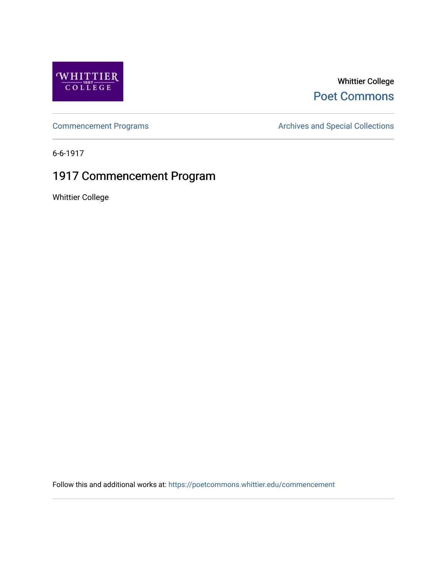

## Whittier College [Poet Commons](https://poetcommons.whittier.edu/)

[Commencement Programs](https://poetcommons.whittier.edu/commencement) **Archives and Special Collections** Archives and Special Collections

6-6-1917

# 1917 Commencement Program

Whittier College

Follow this and additional works at: [https://poetcommons.whittier.edu/commencement](https://poetcommons.whittier.edu/commencement?utm_source=poetcommons.whittier.edu%2Fcommencement%2F14&utm_medium=PDF&utm_campaign=PDFCoverPages)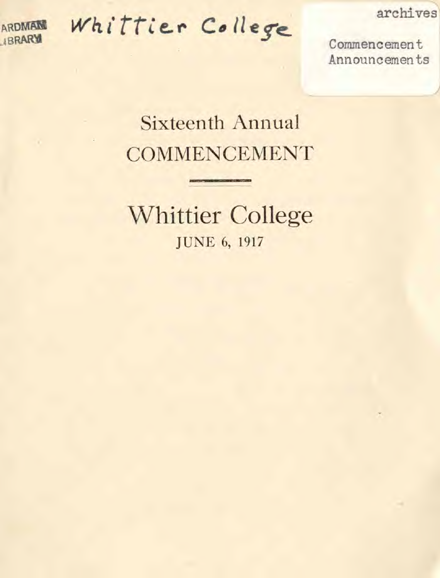

Whittier College

archives

Commencement Announcements

# **Sixteenth Annual COMMENCEMENT**

**Whittier College JUNE 6, 1917**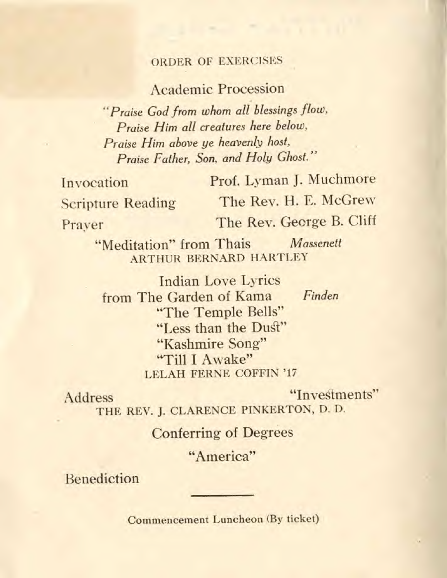### ORDER OF EXERCISES

### Academic Procession

"Praise God from whom all blessings flow, Praise Him all creatures here below, Praise Him above ye heavenly host, Praise Father, Son, and Holy Ghost."

Invocation Prof. Lyman J. Muchmore Scripture Reading The Rev. H. E. McGrew

Prayer The Rev. George B. Cliff

"Meditation" from Thais Massenett ARTHUR BERNARD HARTLEY

Indian Love Lyrics from The Garden of Kama Finden "The Temple Bells" "Less than the Dust" "Kashmire Song" "Till I Awake" LELAH FERNE COFFIN '17

Address "Investments" THE REV. J. CLARENCE PINKERTON, D. D.

Conferring of Degrees

"America"

Benediction

Commencement Luncheon (By ticket)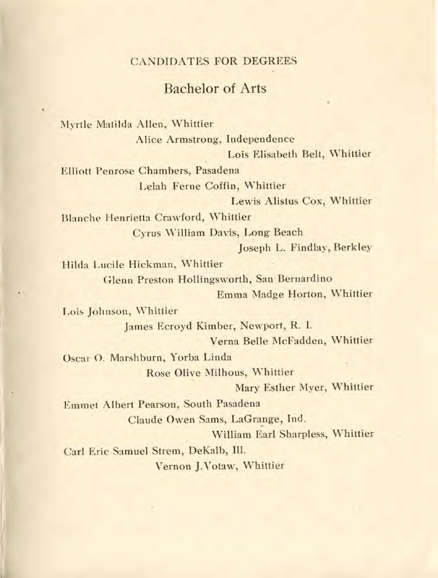#### CANDIDATES FOR DEGREES

### Bachelor of Arts

Myrtle Matilda Allen, Whittier

Alice Armstrong, Independence Lois Elisabeth Belt, Whittier

Elliott Penrose Chambers, Pasadena Lelah Ferne Coffin, Whittier

Lewis Alistus Cox, Whittier

Blanche Henrietta Crawford, Whittier

Cyrus William Davis, Long Beach

Joseph L. Findlay, Berkley

Hilda Lucile Hickman, Whittier

Glenn Preston Hollingsworth, San Bernardino

Emma Madge Horton, Whittier

Lois Johnson, Whittier James Ecroyd Kimber, Newport, R. I.

Verna Belle McFadden, Whittier

Oscar 0. Marshburn, Yorba Linda Rose Olive Milhous, Whittier

Mary Esther Myer, Whittier

Emmet Albert Pearson, South Pasadena Claude Owen Sams, LaGrange, Ind. William Earl Sharpless, Whittier Carl Eric Samuel Strem, DeKaib, Ill.

Vernon J.Votaw, Whittier